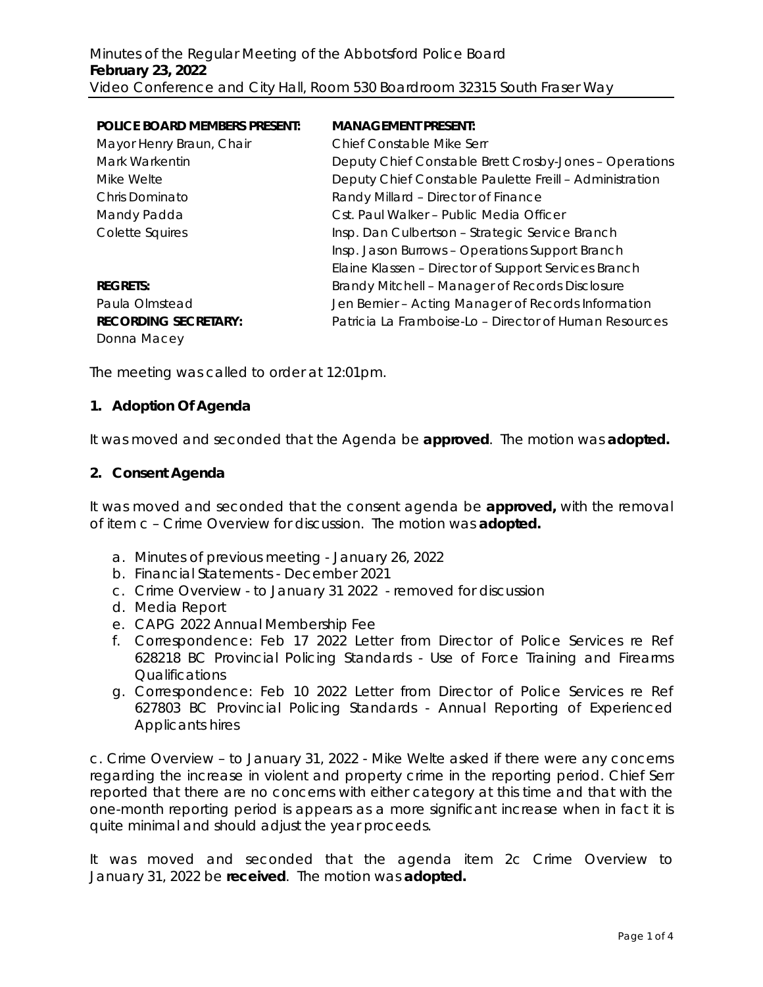| <b>POLICE BOARD MEMBERS PRESENT:</b> | <b>MANAGEMENT PRESENT:</b>                              |
|--------------------------------------|---------------------------------------------------------|
| Mayor Henry Braun, Chair             | Chief Constable Mike Serr                               |
| Mark Warkentin                       | Deputy Chief Constable Brett Crosby-Jones - Operations  |
| Mike Welte                           | Deputy Chief Constable Paulette Freill - Administration |
| Chris Dominato                       | Randy Millard - Director of Finance                     |
| Mandy Padda                          | Cst. Paul Walker - Public Media Officer                 |
| Colette Squires                      | Insp. Dan Culbertson - Strategic Service Branch         |
|                                      | Insp. Jason Burrows - Operations Support Branch         |
|                                      | Elaine Klassen - Director of Support Services Branch    |
| <b>REGRETS:</b>                      | Brandy Mitchell - Manager of Records Disclosure         |
| Paula Olmstead                       | Jen Bernier - Acting Manager of Records Information     |
| <b>RECORDING SECRETARY:</b>          | Patricia La Framboise-Lo – Director of Human Resources  |
| Donna Macey                          |                                                         |

The meeting was called to order at 12:01pm.

#### **1. Adoption Of Agenda**

It was moved and seconded that the Agenda be **approved**.The motion was **adopted.**

#### **2. Consent Agenda**

It was moved and seconded that the consent agenda be **approved,** with the removal of item c – Crime Overview for discussion.The motion was **adopted.**

- a. Minutes of previous meeting January 26, 2022
- b. Financial Statements December 2021
- c. Crime Overview to January 31 2022 removed for discussion
- d. Media Report
- e. CAPG 2022 Annual Membership Fee
- f. Correspondence: Feb 17 2022 Letter from Director of Police Services re Ref 628218 BC Provincial Policing Standards - Use of Force Training and Firearms Qualifications
- g. Correspondence: Feb 10 2022 Letter from Director of Police Services re Ref 627803 BC Provincial Policing Standards - Annual Reporting of Experienced Applicants hires

c. Crime Overview – to January 31, 2022 - Mike Welte asked if there were any concerns regarding the increase in violent and property crime in the reporting period. Chief Serr reported that there are no concerns with either category at this time and that with the one-month reporting period is appears as a more significant increase when in fact it is quite minimal and should adjust the year proceeds.

It was moved and seconded that the agenda item 2c Crime Overview to January 31, 2022 be **received**.The motion was **adopted.**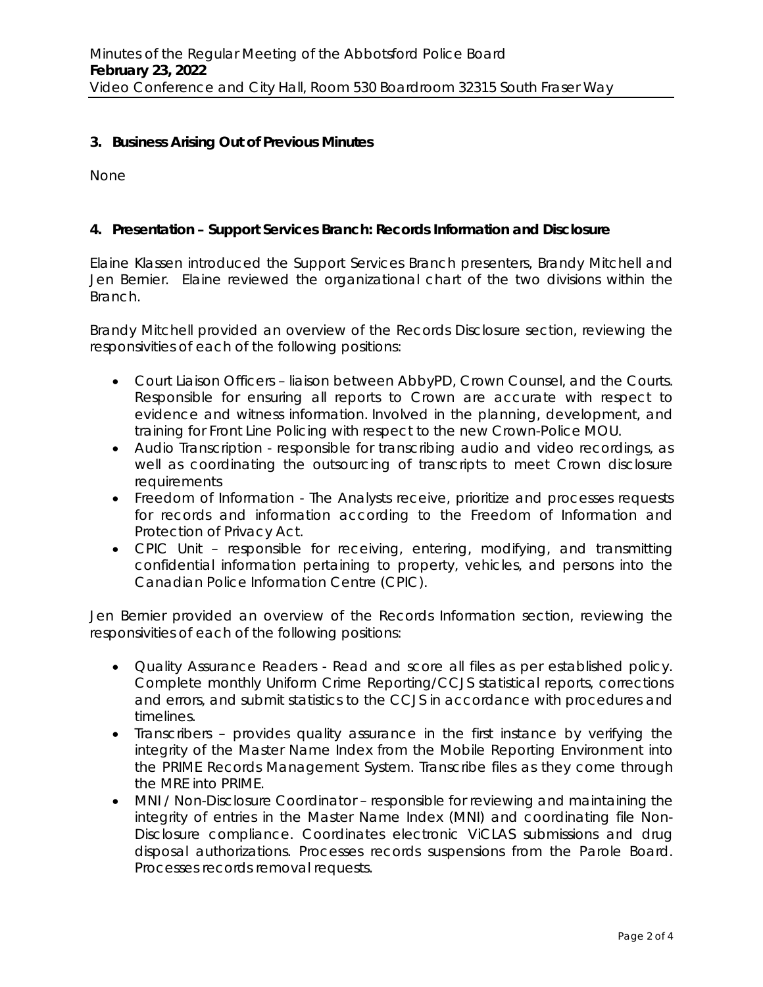### **3. Business Arising Out of Previous Minutes**

None

## **4. Presentation – Support Services Branch: Records Information and Disclosure**

Elaine Klassen introduced the Support Services Branch presenters, Brandy Mitchell and Jen Bernier. Elaine reviewed the organizational chart of the two divisions within the Branch.

Brandy Mitchell provided an overview of the Records Disclosure section, reviewing the responsivities of each of the following positions:

- Court Liaison Officers liaison between AbbyPD, Crown Counsel, and the Courts. Responsible for ensuring all reports to Crown are accurate with respect to evidence and witness information. Involved in the planning, development, and training for Front Line Policing with respect to the new Crown-Police MOU.
- Audio Transcription responsible for transcribing audio and video recordings, as well as coordinating the outsourcing of transcripts to meet Crown disclosure **requirements**
- Freedom of Information The Analysts receive, prioritize and processes requests for records and information according to the Freedom of Information and Protection of Privacy Act.
- CPIC Unit responsible for receiving, entering, modifying, and transmitting confidential information pertaining to property, vehicles, and persons into the Canadian Police Information Centre (CPIC).

Jen Bernier provided an overview of the Records Information section, reviewing the responsivities of each of the following positions:

- Quality Assurance Readers Read and score all files as per established policy. Complete monthly Uniform Crime Reporting/CCJS statistical reports, corrections and errors, and submit statistics to the CCJS in accordance with procedures and timelines.
- Transcribers provides quality assurance in the first instance by verifying the integrity of the Master Name Index from the Mobile Reporting Environment into the PRIME Records Management System. Transcribe files as they come through the MRE into PRIME.
- MNI / Non-Disclosure Coordinator responsible for reviewing and maintaining the integrity of entries in the Master Name Index (MNI) and coordinating file Non-Disclosure compliance. Coordinates electronic ViCLAS submissions and drug disposal authorizations. Processes records suspensions from the Parole Board. Processes records removal requests.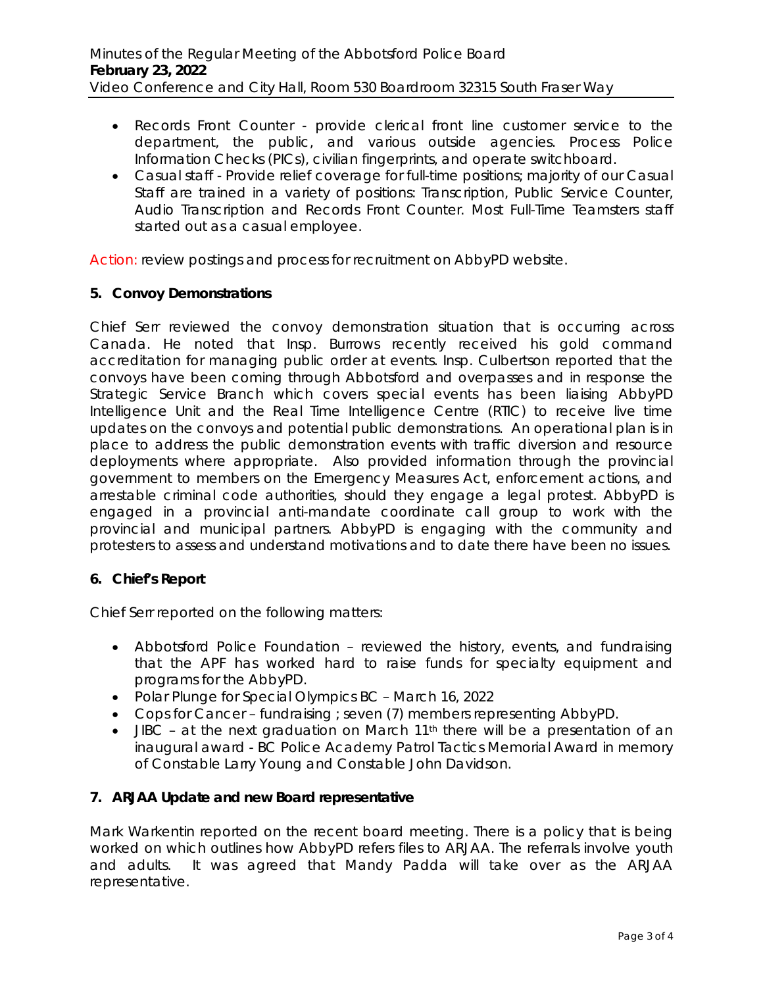- Records Front Counter provide clerical front line customer service to the department, the public, and various outside agencies. Process Police Information Checks (PICs), civilian fingerprints, and operate switchboard.
- Casual staff Provide relief coverage for full-time positions; majority of our Casual Staff are trained in a variety of positions: Transcription, Public Service Counter, Audio Transcription and Records Front Counter. Most Full-Time Teamsters staff started out as a casual employee.

Action: review postings and process for recruitment on AbbyPD website.

#### **5. Convoy Demonstrations**

Chief Serr reviewed the convoy demonstration situation that is occurring across Canada. He noted that Insp. Burrows recently received his gold command accreditation for managing public order at events. Insp. Culbertson reported that the convoys have been coming through Abbotsford and overpasses and in response the Strategic Service Branch which covers special events has been liaising AbbyPD Intelligence Unit and the Real Time Intelligence Centre (RTIC) to receive live time updates on the convoys and potential public demonstrations. An operational plan is in place to address the public demonstration events with traffic diversion and resource deployments where appropriate. Also provided information through the provincial government to members on the *Emergency Measures Act,* enforcement actions, and arrestable criminal code authorities, should they engage a legal protest. AbbyPD is engaged in a provincial anti-mandate coordinate call group to work with the provincial and municipal partners. AbbyPD is engaging with the community and protesters to assess and understand motivations and to date there have been no issues.

### **6. Chief's Report**

Chief Serr reported on the following matters:

- Abbotsford Police Foundation reviewed the history, events, and fundraising that the APF has worked hard to raise funds for specialty equipment and programs for the AbbyPD.
- Polar Plunge for Special Olympics BC March 16, 2022
- Cops for Cancer fundraising ; seven (7) members representing AbbyPD.
- JIBC at the next graduation on March  $11<sup>th</sup>$  there will be a presentation of an inaugural award - *BC Police Academy Patrol Tactics Memorial Award* in memory of Constable Larry Young and Constable John Davidson.

### **7. ARJAA Update and new Board representative**

Mark Warkentin reported on the recent board meeting. There is a policy that is being worked on which outlines how AbbyPD refers files to ARJAA. The referrals involve youth and adults. It was agreed that Mandy Padda will take over as the ARJAA representative.